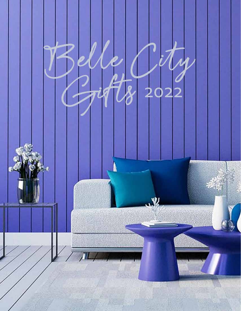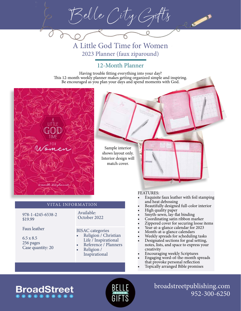Belle City Gifts

A Little God Time for Women 2023 Planner (faux ziparound)

Having trouble fitting everything into your day? This 12-month weekly planner makes getting organized simple and inspiring. Be encouraged as you plan your days and spend moments with God.



978-1-4245-6538-2 \$19.99

Women

Rmouth 2023 plan

Faux leather

6.5 x 8.5 256 pages Case quantity: 20

## VITAL INFORMATION

Available: October 2022

### BISAC categories

- Religion / Christian Life / Inspirational
- Reference / Planners • Religion /
- Inspirational

### FEATURES:

- Exquisite faux leather with foil stamping and heat debossing
- Beautifully designed full-color interior
- High quality paper
- Smyth-sewn, lay-flat binding
- Coordinating satin ribbon marker
- Zippered cover for securing loose items
- Year-at-a-glance calendar for 2023
- Month-at-a-glance calendars
- Weekly spreads for scheduling tasks
- Designated sections for goal setting, notes, lists, and space to express your creativity
- Encouraging weekly Scriptures
- Engaging word-of-the-month spreads that provoke personal reflection
- Topically arranged Bible promises

# **BroadStreet**

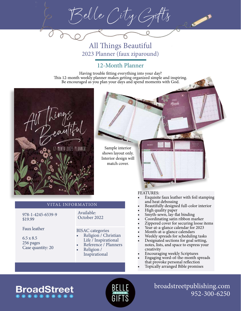Belle City Gifts

All Things Beautiful 2023 Planner (faux ziparound)

Having trouble fitting everything into your day? This 12-month weekly planner makes getting organized simple and inspiring. Be encouraged as you plan your days and spend moments with God.

> Sample interior shows layout only. Interior design will match cover.



### VITAL INFORMATION

978-1-4245-6539-9 \$19.99

Faux leather

6.5 x 8.5 256 pages Case quantity: 20

### Available: October 2022

#### BISAC categories

- Religion / Christian Life / Inspirational
- Reference / Planners • Religion /
- Inspirational

#### FEATURES:

- Exquisite faux leather with foil stamping and heat debossing
- Beautifully designed full-color interior
- High quality paper
- Smyth-sewn, lay-flat binding
- Coordinating satin ribbon marker
- Zippered cover for securing loose items
- Year-at-a-glance calendar for 2023
- Month-at-a-glance calendars
- Weekly spreads for scheduling tasks
- Designated sections for goal setting, notes, lists, and space to express your creativity
- Encouraging weekly Scriptures
- Engaging word-of-the-month spreads that provoke personal reflection
- Topically arranged Bible promises

# **BroadStreet**

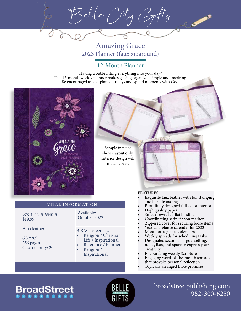Belle City Gifts

Amazing Grace 2023 Planner (faux ziparound)

Having trouble fitting everything into your day? This 12-month weekly planner makes getting organized simple and inspiring. Be encouraged as you plan your days and spend moments with God.



Sample interior shows layout only. Interior design will match cover.

### VITAL INFORMATION

978-1-4245-6540-5 \$19.99

Faux leather

6.5 x 8.5 256 pages Case quantity: 20

# BISAC categories

Available: October 2022

- Religion / Christian Life / Inspirational
- Reference / Planners
- Religion / Inspirational

#### FEATURES:

- Exquisite faux leather with foil stamping and heat debossing
- Beautifully designed full-color interior
- High quality paper
- Smyth-sewn, lay-flat binding
- Coordinating satin ribbon marker
- Zippered cover for securing loose items
- Year-at-a-glance calendar for 2023
- Month-at-a-glance calendars
- Weekly spreads for scheduling tasks
- Designated sections for goal setting, notes, lists, and space to express your creativity
- Encouraging weekly Scriptures
- Engaging word-of-the-month spreads that provoke personal reflection
- Topically arranged Bible promises

# **BroadStreet**

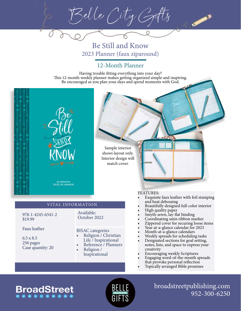Belle City Gifts

Be Still and Know 2023 Planner (faux ziparound)

Having trouble fitting everything into your day? This 12-month weekly planner makes getting organized simple and inspiring. Be encouraged as you plan your days and spend moments with God.

> Sample interior shows layout only. Interior design will match cover.

12-MONTH<br>2023 PLANNER

### VITAL INFORMATION

978-1-4245-6541-2 \$19.99

Faux leather

6.5 x 8.5 256 pages Case quantity: 20

#### BISAC categories

Available: October 2022

- Religion / Christian Life / Inspirational
- Reference / Planners • Religion /

Inspirational

#### FEATURES:

- Exquisite faux leather with foil stamping and heat debossing
- Beautifully designed full-color interior
- High quality paper
- Smyth-sewn, lay-flat binding
- Coordinating satin ribbon marker
- Zippered cover for securing loose items
- Year-at-a-glance calendar for 2023
- Month-at-a-glance calendars
- Weekly spreads for scheduling tasks
- Designated sections for goal setting, notes, lists, and space to express your creativity
- Encouraging weekly Scriptures
- Engaging word-of-the-month spreads that provoke personal reflection
- Topically arranged Bible promises

# **BroadStreet .........**